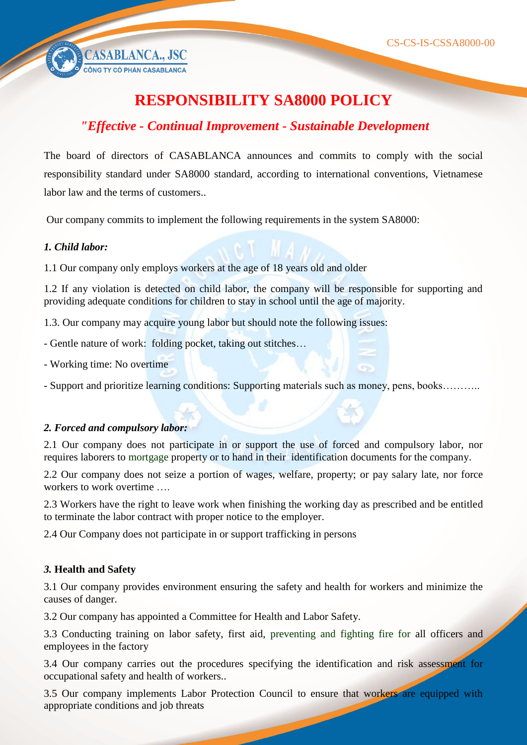CASABLANCA., JSC

# **RESPONSIBILITY SA8000 POLICY**

# *"Effective - Continual Improvement - Sustainable Development*

The board of directors of CASABLANCA announces and commits to comply with the social responsibility standard under SA8000 standard, according to international conventions, Vietnamese labor law and the terms of customers..

Our company commits to implement the following requirements in the system SA8000:

#### *1. Child labor:*

1.1 Our company only employs workers at the age of 18 years old and older

1.2 If any violation is detected on child labor, the company will be responsible for supporting and providing adequate conditions for children to stay in school until the age of majority.

1.3. Our company may acquire young labor but should note the following issues:

- Gentle nature of work: folding pocket, taking out stitches…

- Working time: No overtime

- Support and prioritize learning conditions: Supporting materials such as money, pens, books………..

#### *2. Forced and compulsory labor:*

2.1 Our company does not participate in or support the use of forced and compulsory labor, nor requires laborers to mortgage property or to hand in their identification documents for the company.

2.2 Our company does not seize a portion of wages, welfare, property; or pay salary late, nor force workers to work overtime

2.3 Workers have the right to leave work when finishing the working day as prescribed and be entitled to terminate the labor contract with proper notice to the employer.

2.4 Our Company does not participate in or support trafficking in persons

### *3.* **Health and Safety**

3.1 Our company provides environment ensuring the safety and health for workers and minimize the causes of danger.

3.2 Our company has appointed a Committee for Health and Labor Safety.

3.3 Conducting training on labor safety, first aid, preventing and fighting fire for all officers and employees in the factory

3.4 Our company carries out the procedures specifying the identification and risk assessment for occupational safety and health of workers..

3.5 Our company implements Labor Protection Council to ensure that workers are equipped with appropriate conditions and job threats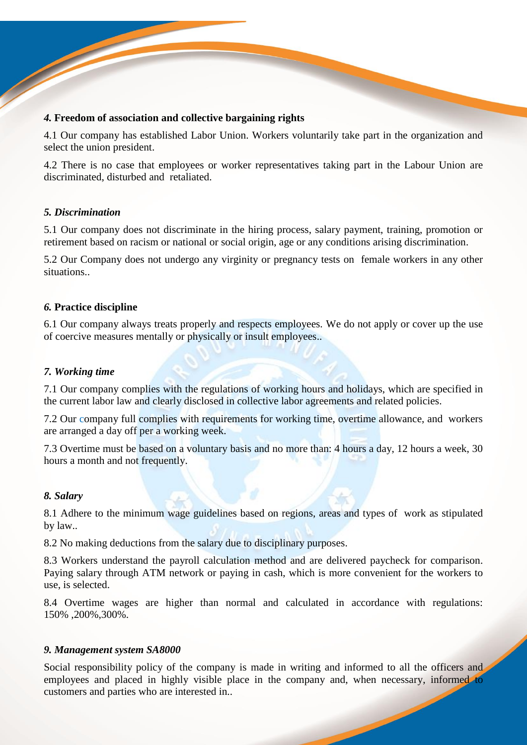#### *4.* **Freedom of association and collective bargaining rights**

4.1 Our company has established Labor Union. Workers voluntarily take part in the organization and select the union president.

4.2 There is no case that employees or worker representatives taking part in the Labour Union are discriminated, disturbed and retaliated.

#### *5. Discrimination*

5.1 Our company does not discriminate in the hiring process, salary payment, training, promotion or retirement based on racism or national or social origin, age or any conditions arising discrimination.

5.2 Our Company does not undergo any virginity or pregnancy tests on female workers in any other situations..

#### *6.* **Practice discipline**

6.1 Our company always treats properly and respects employees. We do not apply or cover up the use of coercive measures mentally or physically or insult employees..

#### *7. Working time*

7.1 Our company complies with the regulations of working hours and holidays, which are specified in the current labor law and clearly disclosed in collective labor agreements and related policies.

7.2 Our company full complies with requirements for working time, overtime allowance, and workers are arranged a day off per a working week.

7.3 Overtime must be based on a voluntary basis and no more than: 4 hours a day, 12 hours a week, 30 hours a month and not frequently.

#### *8. Salary*

8.1 Adhere to the minimum wage guidelines based on regions, areas and types of work as stipulated by law..

8.2 No making deductions from the salary due to disciplinary purposes.

8.3 Workers understand the payroll calculation method and are delivered paycheck for comparison. Paying salary through ATM network or paying in cash, which is more convenient for the workers to use, is selected.

8.4 Overtime wages are higher than normal and calculated in accordance with regulations: 150% ,200%,300%.

#### *9. Management system SA8000*

Social responsibility policy of the company is made in writing and informed to all the officers and employees and placed in highly visible place in the company and, when necessary, informed to customers and parties who are interested in..